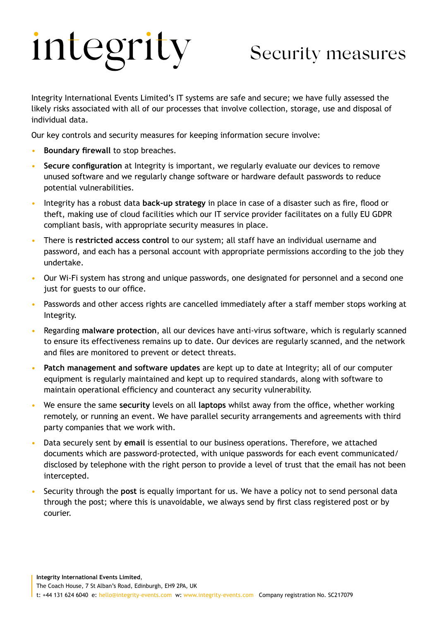## integrity

## Security measures

Integrity International Events Limited's IT systems are safe and secure; we have fully assessed the likely risks associated with all of our processes that involve collection, storage, use and disposal of individual data.

Our key controls and security measures for keeping information secure involve:

- **Boundary firewall** to stop breaches.
- **Secure configuration** at Integrity is important, we regularly evaluate our devices to remove unused software and we regularly change software or hardware default passwords to reduce potential vulnerabilities.
- Integrity has a robust data **back-up strategy** in place in case of a disaster such as fire, flood or theft, making use of cloud facilities which our IT service provider facilitates on a fully EU GDPR compliant basis, with appropriate security measures in place.
- There is **restricted access control** to our system; all staff have an individual username and password, and each has a personal account with appropriate permissions according to the job they undertake.
- Our Wi-Fi system has strong and unique passwords, one designated for personnel and a second one just for guests to our office.
- Passwords and other access rights are cancelled immediately after a staff member stops working at Integrity.
- Regarding **malware protection**, all our devices have anti-virus software, which is regularly scanned to ensure its effectiveness remains up to date. Our devices are regularly scanned, and the network and files are monitored to prevent or detect threats.
- **Patch management and software updates** are kept up to date at Integrity; all of our computer equipment is regularly maintained and kept up to required standards, along with software to maintain operational efficiency and counteract any security vulnerability.
- We ensure the same **security** levels on all **laptops** whilst away from the office, whether working remotely, or running an event. We have parallel security arrangements and agreements with third party companies that we work with.
- Data securely sent by **email** is essential to our business operations. Therefore, we attached documents which are password-protected, with unique passwords for each event communicated/ disclosed by telephone with the right person to provide a level of trust that the email has not been intercepted.
- Security through the **post** is equally important for us. We have a policy not to send personal data through the post; where this is unavoidable, we always send by first class registered post or by courier.